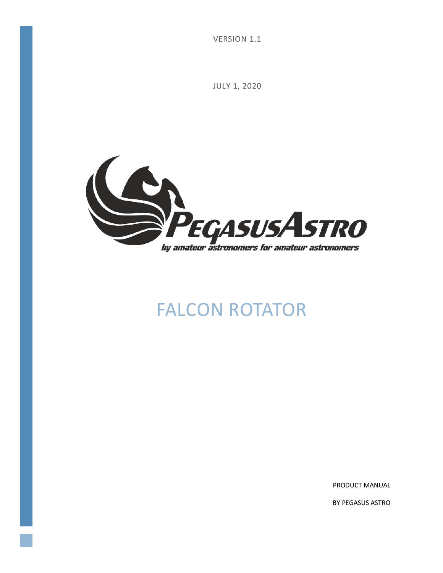VERSION 1.1

JULY 1, 2020



# FALCON ROTATOR

PRODUCT MANUAL

BY PEGASUS ASTRO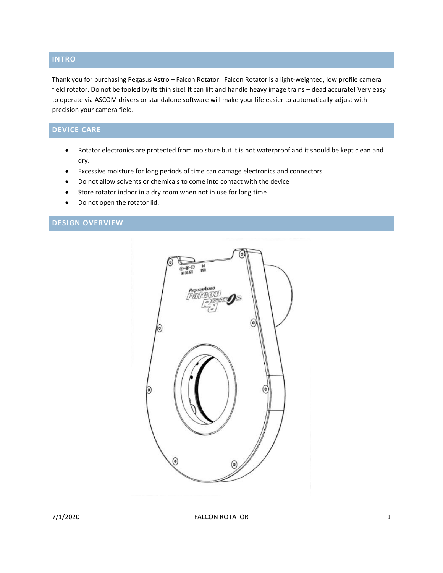## **INTRO**

Thank you for purchasing Pegasus Astro – Falcon Rotator. Falcon Rotator is a light-weighted, low profile camera field rotator. Do not be fooled by its thin size! It can lift and handle heavy image trains – dead accurate! Very easy to operate via ASCOM drivers or standalone software will make your life easier to automatically adjust with precision your camera field.

# **DEVICE CARE**

- Rotator electronics are protected from moisture but it is not waterproof and it should be kept clean and dry.
- Excessive moisture for long periods of time can damage electronics and connectors
- Do not allow solvents or chemicals to come into contact with the device
- Store rotator indoor in a dry room when not in use for long time
- Do not open the rotator lid.

# **DESIGN OVERVIEW**



7/1/2020 FALCON ROTATOR 1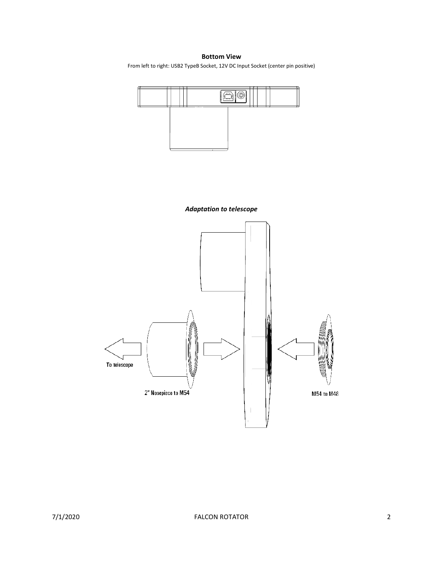**Bottom View**

From left to right: USB2 TypeB Socket, 12V DC Input Socket (center pin positive)



*Adaptation to telescope*

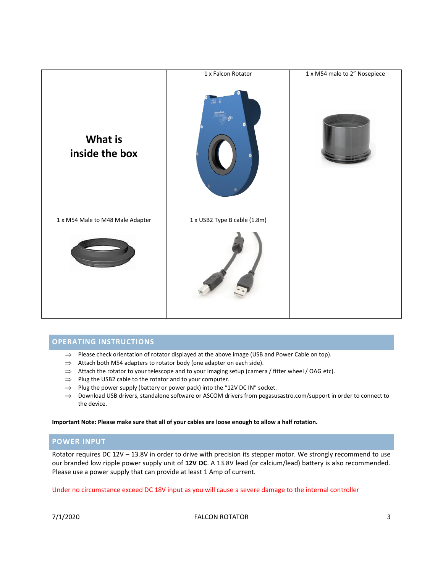

## **OPERATING INSTRUCTIONS**

- $\Rightarrow$  Please check orientation of rotator displayed at the above image (USB and Power Cable on top).
- $\Rightarrow$  Attach both M54 adapters to rotator body (one adapter on each side).
- $\Rightarrow$  Attach the rotator to your telescope and to your imaging setup (camera / fitter wheel / OAG etc).
- $\Rightarrow$  Plug the USB2 cable to the rotator and to your computer.
- $\Rightarrow$  Plug the power supply (battery or power pack) into the "12V DC IN" socket.
- $\Rightarrow$  Download USB drivers, standalone software or ASCOM drivers fro[m pegasusastro.com/support](http://pegasusastro.com/support) in order to connect to the device.

#### **Important Note: Please make sure that all of your cables are loose enough to allow a half rotation.**

## **POWER INPUT**

Rotator requires DC 12V – 13.8V in order to drive with precision its stepper motor. We strongly recommend to use our branded low ripple power supply unit of **12V DC**. A 13.8V lead (or calcium/lead) battery is also recommended. Please use a power supply that can provide at least 1 Amp of current.

Under no circumstance exceed DC 18V input as you will cause a severe damage to the internal controller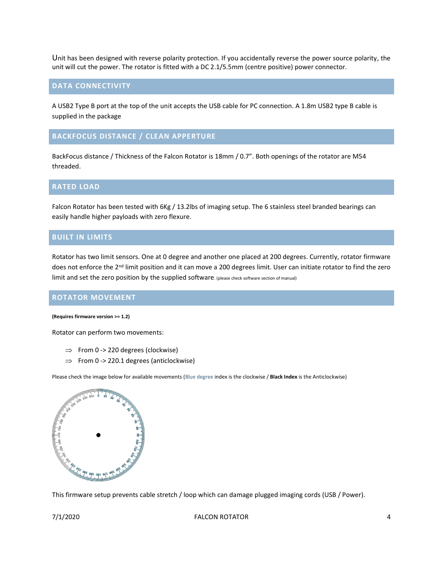Unit has been designed with reverse polarity protection. If you accidentally reverse the power source polarity, the unit will cut the power. The rotator is fitted with a DC 2.1/5.5mm (centre positive) power connector.

#### **DATA CONNECTIVITY**

A USB2 Type B port at the top of the unit accepts the USB cable for PC connection. A 1.8m USB2 type B cable is supplied in the package

## **BACKFOCUS DISTANCE / CLEAN APPERTURE**

BackFocus distance / Thickness of the Falcon Rotator is 18mm / 0.7". Both openings of the rotator are M54 threaded.

#### **RATED LOAD**

Falcon Rotator has been tested with 6Kg / 13.2lbs of imaging setup. The 6 stainless steel branded bearings can easily handle higher payloads with zero flexure.

#### **BUILT IN LIMITS**

Rotator has two limit sensors. One at 0 degree and another one placed at 200 degrees. Currently, rotator firmware does not enforce the 2<sup>nd</sup> limit position and it can move a 200 degrees limit. User can initiate rotator to find the zero limit and set the zero position by the supplied software. (please check software section of manual)

#### **ROTATOR MOVEMENT**

#### **(Requires firmware version >= 1.2)**

Rotator can perform two movements:

- $\Rightarrow$  From 0 -> 220 degrees (clockwise)
- $\Rightarrow$  From 0 -> 220.1 degrees (anticlockwise)

Please check the image below for available movements (Blue degree index is the clockwise / **Black Index** is the Anticlockwise)



This firmware setup prevents cable stretch / loop which can damage plugged imaging cords (USB / Power).

7/1/2020 FALCON ROTATOR 4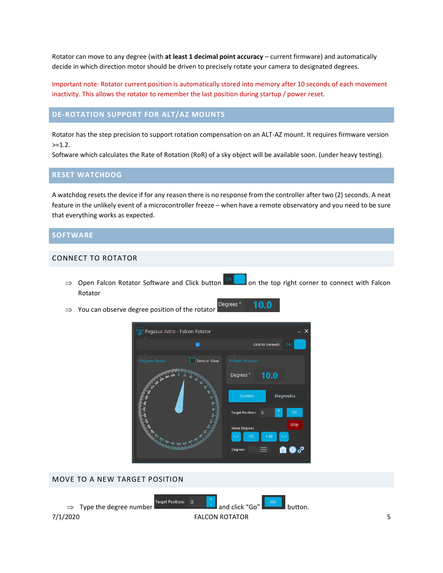Rotator can move to any degree (with **at least 1 decimal point accuracy** – current firmware) and automatically decide in which direction motor should be driven to precisely rotate your camera to designated degrees.

Important note: Rotator current position is automatically stored into memory after 10 seconds of each movement inactivity. This allows the rotator to remember the last position during startup / power reset.

## **DE-ROTATION SUPPORT FOR ALT/AZ MOUNTS**

Rotator has the step precision to support rotation compensation on an ALT-AZ mount. It requires firmware version  $>=1.2.$ 

Software which calculates the Rate of Rotation (RoR) of a sky object will be available soon. (under heavy testing).

## **RESET WATCHDOG**

A watchdog resets the device if for any reason there is no response from the controller after two (2) seconds. A neat feature in the unlikely event of a microcontroller freeze – when have a remote observatory and you need to be sure that everything works as expected.

#### **SOFTWARE**

#### CONNECT TO ROTATOR

- $\Rightarrow$  Open Falcon Rotator Software and Click button  $\Box$  on the top right corner to connect with Falcon Rotator
- Degrees<sup>°</sup> 10.0  $\Rightarrow$  You can observe degree position of the rotator



#### MOVE TO A NEW TARGET POSITION

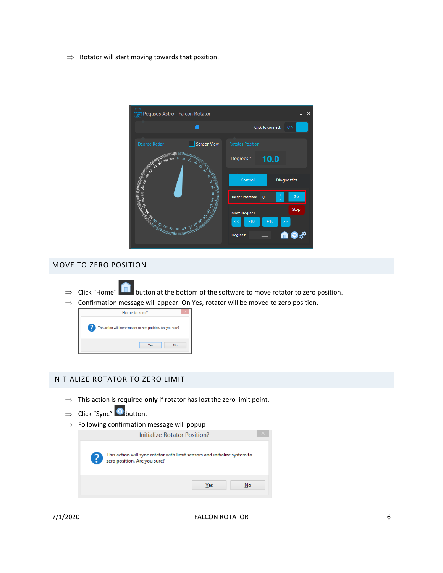$\Rightarrow$  Rotator will start moving towards that position.



## MOVE TO ZERO POSITION

- $\Rightarrow$  Click "Home" **button at the bottom of the software to move rotator to zero position.**
- $\Rightarrow$  Confirmation message will appear. On Yes, rotator will be moved to zero position.



## INITIALIZE ROTATOR TO ZERO LIMIT

- $\Rightarrow$  This action is required **only** if rotator has lost the zero limit point.
- $\Rightarrow$  Click "Sync" button.
- $\Rightarrow$  Following confirmation message will popup

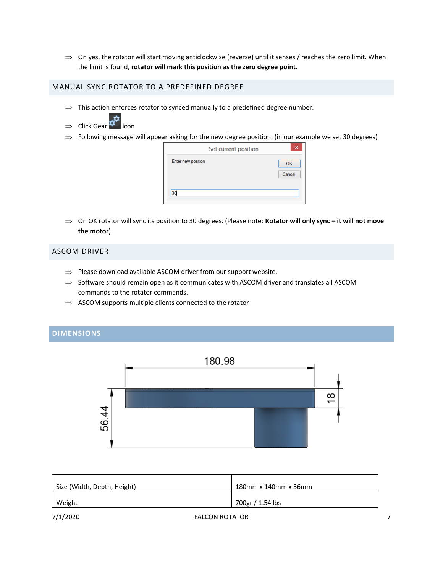$\Rightarrow$  On yes, the rotator will start moving anticlockwise (reverse) until it senses / reaches the zero limit. When the limit is found, **rotator will mark this position as the zero degree point.**

#### MANUAL SYNC ROTATOR TO A PREDEFINED DEGREE

- $\Rightarrow$  This action enforces rotator to synced manually to a predefined degree number.
- ⇒ Click Gear  $\boldsymbol{\phi}^{\boldsymbol{\alpha}}$  icon
- $\Rightarrow$  Following message will appear asking for the new degree position. (in our example we set 30 degrees)

| Set current position | ×                   |
|----------------------|---------------------|
| Enter new position   | <b>OK</b><br>Cancel |
| 30                   |                     |

 On OK rotator will sync its position to 30 degrees. (Please note: **Rotator will only sync – it will not move the motor**)

#### ASCOM DRIVER

- $\Rightarrow$  Please download available ASCOM driver from our support website.
- $\Rightarrow$  Software should remain open as it communicates with ASCOM driver and translates all ASCOM commands to the rotator commands.
- $\Rightarrow$  ASCOM supports multiple clients connected to the rotator

# **DIMENSIONS**



| Size (Width, Depth, Height) | 180mm x 140mm x 56mm |
|-----------------------------|----------------------|
| Weight                      | 700gr / 1.54 lbs     |